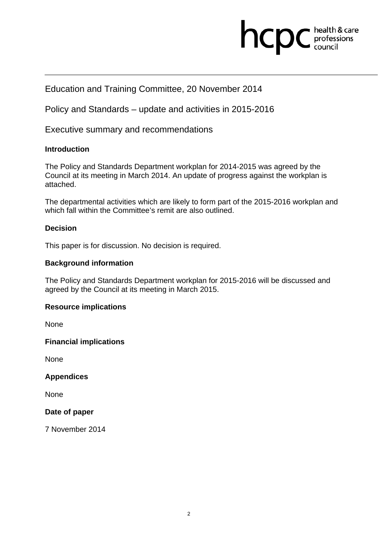# health & care<br>professions<br>council hcpc

# Education and Training Committee, 20 November 2014

Policy and Standards – update and activities in 2015-2016

Executive summary and recommendations

#### **Introduction**

The Policy and Standards Department workplan for 2014-2015 was agreed by the Council at its meeting in March 2014. An update of progress against the workplan is attached.

The departmental activities which are likely to form part of the 2015-2016 workplan and which fall within the Committee's remit are also outlined.

## **Decision**

This paper is for discussion. No decision is required.

#### **Background information**

The Policy and Standards Department workplan for 2015-2016 will be discussed and agreed by the Council at its meeting in March 2015.

## **Resource implications**

**None** 

**Financial implications** 

**None** 

**Appendices** 

None

#### **Date of paper**

7 November 2014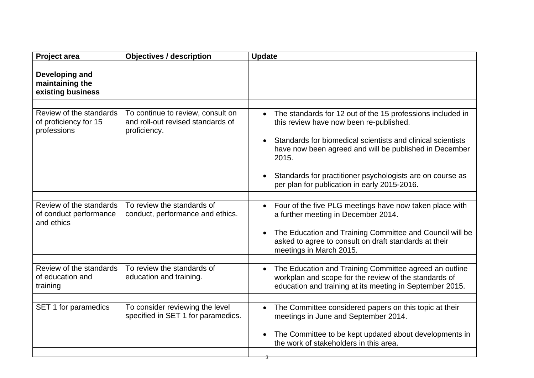| Project area                                                    | <b>Objectives / description</b>                                                        | <b>Update</b>                                                                                                                                                                                                                                        |
|-----------------------------------------------------------------|----------------------------------------------------------------------------------------|------------------------------------------------------------------------------------------------------------------------------------------------------------------------------------------------------------------------------------------------------|
|                                                                 |                                                                                        |                                                                                                                                                                                                                                                      |
| Developing and<br>maintaining the<br>existing business          |                                                                                        |                                                                                                                                                                                                                                                      |
|                                                                 |                                                                                        |                                                                                                                                                                                                                                                      |
| Review of the standards<br>of proficiency for 15<br>professions | To continue to review, consult on<br>and roll-out revised standards of<br>proficiency. | The standards for 12 out of the 15 professions included in<br>$\bullet$<br>this review have now been re-published.<br>Standards for biomedical scientists and clinical scientists<br>have now been agreed and will be published in December<br>2015. |
|                                                                 |                                                                                        | Standards for practitioner psychologists are on course as<br>per plan for publication in early 2015-2016.                                                                                                                                            |
|                                                                 |                                                                                        |                                                                                                                                                                                                                                                      |
| Review of the standards<br>of conduct performance<br>and ethics | To review the standards of<br>conduct, performance and ethics.                         | Four of the five PLG meetings have now taken place with<br>a further meeting in December 2014.<br>The Education and Training Committee and Council will be<br>asked to agree to consult on draft standards at their                                  |
|                                                                 |                                                                                        | meetings in March 2015.                                                                                                                                                                                                                              |
|                                                                 |                                                                                        |                                                                                                                                                                                                                                                      |
| Review of the standards<br>of education and<br>training         | To review the standards of<br>education and training.                                  | The Education and Training Committee agreed an outline<br>$\bullet$<br>workplan and scope for the review of the standards of<br>education and training at its meeting in September 2015.                                                             |
|                                                                 |                                                                                        |                                                                                                                                                                                                                                                      |
| SET 1 for paramedics                                            | To consider reviewing the level<br>specified in SET 1 for paramedics.                  | The Committee considered papers on this topic at their<br>$\bullet$<br>meetings in June and September 2014.<br>The Committee to be kept updated about developments in                                                                                |
|                                                                 |                                                                                        | the work of stakeholders in this area.                                                                                                                                                                                                               |

3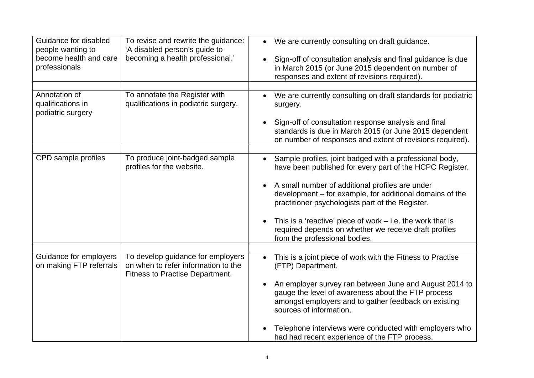| Guidance for disabled<br>people wanting to<br>become health and care<br>professionals | To revise and rewrite the guidance:<br>'A disabled person's guide to<br>becoming a health professional.'           | We are currently consulting on draft guidance.<br>$\bullet$<br>Sign-off of consultation analysis and final guidance is due<br>in March 2015 (or June 2015 dependent on number of<br>responses and extent of revisions required).                                                                                                                                                                                                                 |
|---------------------------------------------------------------------------------------|--------------------------------------------------------------------------------------------------------------------|--------------------------------------------------------------------------------------------------------------------------------------------------------------------------------------------------------------------------------------------------------------------------------------------------------------------------------------------------------------------------------------------------------------------------------------------------|
| Annotation of<br>qualifications in<br>podiatric surgery                               | To annotate the Register with<br>qualifications in podiatric surgery.                                              | We are currently consulting on draft standards for podiatric<br>surgery.<br>Sign-off of consultation response analysis and final<br>standards is due in March 2015 (or June 2015 dependent<br>on number of responses and extent of revisions required).                                                                                                                                                                                          |
| CPD sample profiles                                                                   | To produce joint-badged sample<br>profiles for the website.                                                        | Sample profiles, joint badged with a professional body,<br>have been published for every part of the HCPC Register.<br>A small number of additional profiles are under<br>development - for example, for additional domains of the<br>practitioner psychologists part of the Register.<br>This is a 'reactive' piece of work $-$ i.e. the work that is<br>required depends on whether we receive draft profiles<br>from the professional bodies. |
| Guidance for employers<br>on making FTP referrals                                     | To develop guidance for employers<br>on when to refer information to the<br><b>Fitness to Practise Department.</b> | This is a joint piece of work with the Fitness to Practise<br>$\bullet$<br>(FTP) Department.<br>An employer survey ran between June and August 2014 to<br>gauge the level of awareness about the FTP process<br>amongst employers and to gather feedback on existing<br>sources of information.<br>Telephone interviews were conducted with employers who<br>had had recent experience of the FTP process.                                       |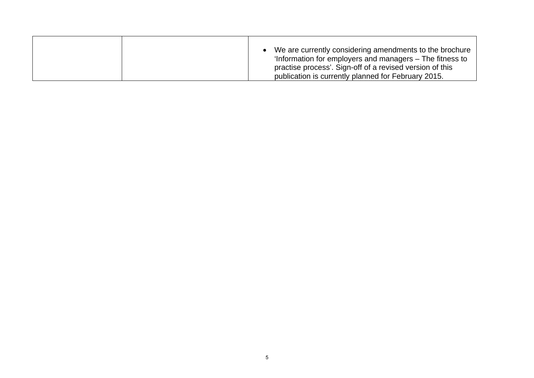|  | We are currently considering amendments to the brochure<br>'Information for employers and managers – The fitness to<br>practise process'. Sign-off of a revised version of this |
|--|---------------------------------------------------------------------------------------------------------------------------------------------------------------------------------|
|  | publication is currently planned for February 2015.                                                                                                                             |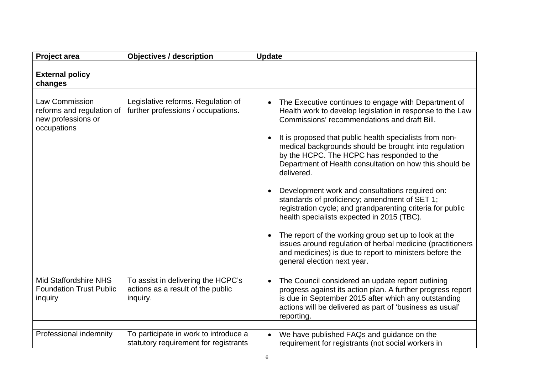| <b>Project area</b>                                                              | <b>Objectives / description</b>                                                     | <b>Update</b>                                                                                                                                                                                                                                                   |
|----------------------------------------------------------------------------------|-------------------------------------------------------------------------------------|-----------------------------------------------------------------------------------------------------------------------------------------------------------------------------------------------------------------------------------------------------------------|
|                                                                                  |                                                                                     |                                                                                                                                                                                                                                                                 |
| <b>External policy</b>                                                           |                                                                                     |                                                                                                                                                                                                                                                                 |
| changes                                                                          |                                                                                     |                                                                                                                                                                                                                                                                 |
|                                                                                  |                                                                                     |                                                                                                                                                                                                                                                                 |
| Law Commission<br>reforms and regulation of<br>new professions or<br>occupations | Legislative reforms. Regulation of<br>further professions / occupations.            | The Executive continues to engage with Department of<br>Health work to develop legislation in response to the Law<br>Commissions' recommendations and draft Bill.<br>It is proposed that public health specialists from non-                                    |
|                                                                                  |                                                                                     | medical backgrounds should be brought into regulation<br>by the HCPC. The HCPC has responded to the<br>Department of Health consultation on how this should be<br>delivered.                                                                                    |
|                                                                                  |                                                                                     | Development work and consultations required on:<br>standards of proficiency; amendment of SET 1;<br>registration cycle; and grandparenting criteria for public<br>health specialists expected in 2015 (TBC).                                                    |
|                                                                                  |                                                                                     | The report of the working group set up to look at the<br>issues around regulation of herbal medicine (practitioners<br>and medicines) is due to report to ministers before the<br>general election next year.                                                   |
|                                                                                  |                                                                                     |                                                                                                                                                                                                                                                                 |
| <b>Mid Staffordshire NHS</b><br><b>Foundation Trust Public</b><br>inquiry        | To assist in delivering the HCPC's<br>actions as a result of the public<br>inquiry. | The Council considered an update report outlining<br>$\bullet$<br>progress against its action plan. A further progress report<br>is due in September 2015 after which any outstanding<br>actions will be delivered as part of 'business as usual'<br>reporting. |
|                                                                                  |                                                                                     |                                                                                                                                                                                                                                                                 |
| Professional indemnity                                                           | To participate in work to introduce a<br>statutory requirement for registrants      | We have published FAQs and guidance on the<br>$\bullet$<br>requirement for registrants (not social workers in                                                                                                                                                   |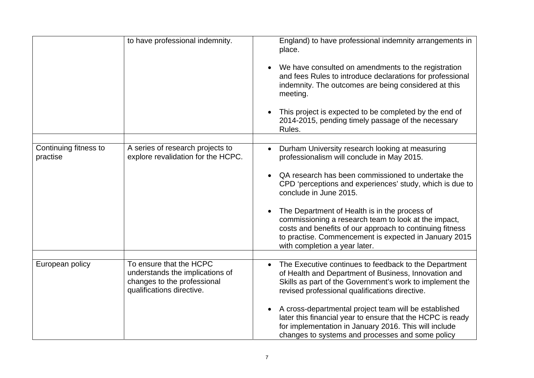|                                   | to have professional indemnity.                                                                                        | England) to have professional indemnity arrangements in<br>place.<br>We have consulted on amendments to the registration<br>and fees Rules to introduce declarations for professional<br>indemnity. The outcomes are being considered at this<br>meeting.<br>This project is expected to be completed by the end of<br>2014-2015, pending timely passage of the necessary                                                                                                                                |
|-----------------------------------|------------------------------------------------------------------------------------------------------------------------|----------------------------------------------------------------------------------------------------------------------------------------------------------------------------------------------------------------------------------------------------------------------------------------------------------------------------------------------------------------------------------------------------------------------------------------------------------------------------------------------------------|
|                                   |                                                                                                                        | Rules.                                                                                                                                                                                                                                                                                                                                                                                                                                                                                                   |
| Continuing fitness to<br>practise | A series of research projects to<br>explore revalidation for the HCPC.                                                 | Durham University research looking at measuring<br>professionalism will conclude in May 2015.<br>QA research has been commissioned to undertake the<br>CPD 'perceptions and experiences' study, which is due to<br>conclude in June 2015.<br>The Department of Health is in the process of<br>commissioning a research team to look at the impact,<br>costs and benefits of our approach to continuing fitness<br>to practise. Commencement is expected in January 2015<br>with completion a year later. |
|                                   |                                                                                                                        |                                                                                                                                                                                                                                                                                                                                                                                                                                                                                                          |
| European policy                   | To ensure that the HCPC<br>understands the implications of<br>changes to the professional<br>qualifications directive. | The Executive continues to feedback to the Department<br>of Health and Department of Business, Innovation and<br>Skills as part of the Government's work to implement the<br>revised professional qualifications directive.<br>A cross-departmental project team will be established<br>later this financial year to ensure that the HCPC is ready<br>for implementation in January 2016. This will include<br>changes to systems and processes and some policy                                          |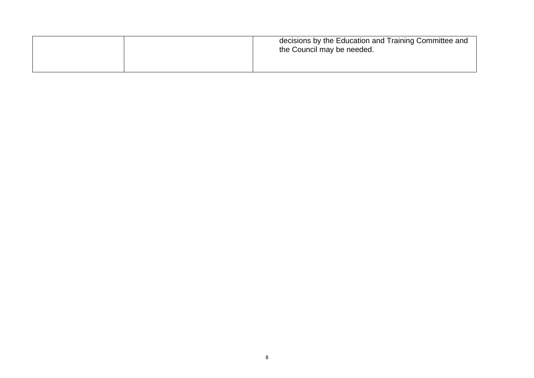|  | decisions by the Education and Training Committee and<br>the Council may be needed. |
|--|-------------------------------------------------------------------------------------|
|  |                                                                                     |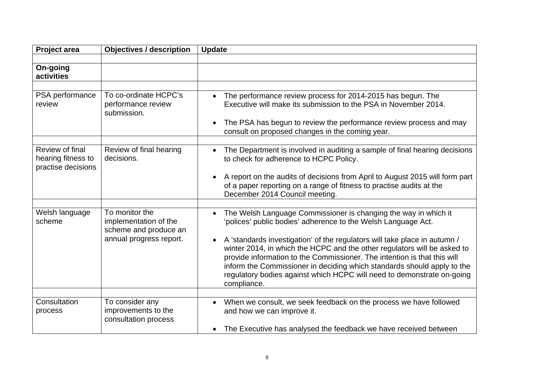| <b>Project area</b>                                         | <b>Objectives / description</b>                                                             | <b>Update</b>                                                                                                                                                                                                                                                                                                                                                                                                                                                              |
|-------------------------------------------------------------|---------------------------------------------------------------------------------------------|----------------------------------------------------------------------------------------------------------------------------------------------------------------------------------------------------------------------------------------------------------------------------------------------------------------------------------------------------------------------------------------------------------------------------------------------------------------------------|
|                                                             |                                                                                             |                                                                                                                                                                                                                                                                                                                                                                                                                                                                            |
| On-going<br>activities                                      |                                                                                             |                                                                                                                                                                                                                                                                                                                                                                                                                                                                            |
|                                                             |                                                                                             |                                                                                                                                                                                                                                                                                                                                                                                                                                                                            |
| PSA performance<br>review                                   | To co-ordinate HCPC's<br>performance review<br>submission.                                  | The performance review process for 2014-2015 has begun. The<br>$\bullet$<br>Executive will make its submission to the PSA in November 2014.                                                                                                                                                                                                                                                                                                                                |
|                                                             |                                                                                             | The PSA has begun to review the performance review process and may<br>$\bullet$<br>consult on proposed changes in the coming year.                                                                                                                                                                                                                                                                                                                                         |
|                                                             |                                                                                             |                                                                                                                                                                                                                                                                                                                                                                                                                                                                            |
| Review of final<br>hearing fitness to<br>practise decisions | Review of final hearing<br>decisions.                                                       | The Department is involved in auditing a sample of final hearing decisions<br>to check for adherence to HCPC Policy.                                                                                                                                                                                                                                                                                                                                                       |
|                                                             |                                                                                             | A report on the audits of decisions from April to August 2015 will form part<br>$\bullet$<br>of a paper reporting on a range of fitness to practise audits at the<br>December 2014 Council meeting.                                                                                                                                                                                                                                                                        |
|                                                             |                                                                                             |                                                                                                                                                                                                                                                                                                                                                                                                                                                                            |
| Welsh language<br>scheme                                    | To monitor the<br>implementation of the<br>scheme and produce an<br>annual progress report. | The Welsh Language Commissioner is changing the way in which it<br>$\bullet$<br>'polices' public bodies' adherence to the Welsh Language Act.<br>A 'standards investigation' of the regulators will take place in autumn /<br>$\bullet$<br>winter 2014, in which the HCPC and the other regulators will be asked to<br>provide information to the Commissioner. The intention is that this will<br>inform the Commissioner in deciding which standards should apply to the |
|                                                             |                                                                                             | regulatory bodies against which HCPC will need to demonstrate on-going<br>compliance.                                                                                                                                                                                                                                                                                                                                                                                      |
|                                                             |                                                                                             |                                                                                                                                                                                                                                                                                                                                                                                                                                                                            |
| Consultation<br>process                                     | To consider any<br>improvements to the<br>consultation process                              | When we consult, we seek feedback on the process we have followed<br>and how we can improve it.                                                                                                                                                                                                                                                                                                                                                                            |
|                                                             |                                                                                             | The Executive has analysed the feedback we have received between                                                                                                                                                                                                                                                                                                                                                                                                           |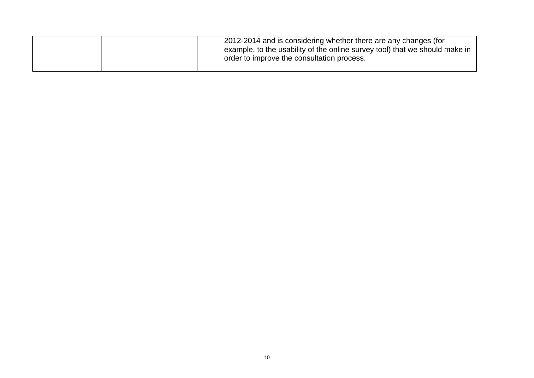| 2012-2014 and is considering whether there are any changes (for<br>example, to the usability of the online survey tool) that we should make in<br>order to improve the consultation process. |
|----------------------------------------------------------------------------------------------------------------------------------------------------------------------------------------------|
|                                                                                                                                                                                              |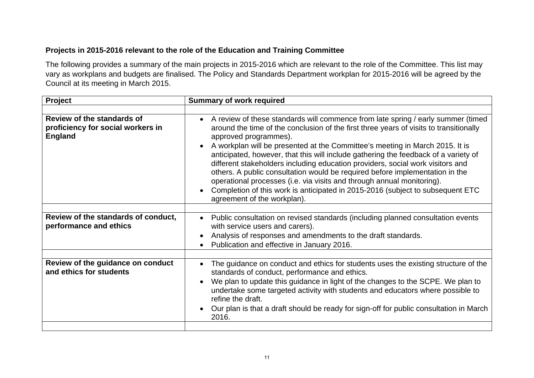# **Projects in 2015-2016 relevant to the role of the Education and Training Committee**

The following provides a summary of the main projects in 2015-2016 which are relevant to the role of the Committee. This list may vary as workplans and budgets are finalised. The Policy and Standards Department workplan for 2015-2016 will be agreed by the Council at its meeting in March 2015.

| <b>Summary of work required</b>                                                                                                                                                                                                                                                                                                                                                                                                                                                                                                                                                                                                                                                                                                                      |
|------------------------------------------------------------------------------------------------------------------------------------------------------------------------------------------------------------------------------------------------------------------------------------------------------------------------------------------------------------------------------------------------------------------------------------------------------------------------------------------------------------------------------------------------------------------------------------------------------------------------------------------------------------------------------------------------------------------------------------------------------|
|                                                                                                                                                                                                                                                                                                                                                                                                                                                                                                                                                                                                                                                                                                                                                      |
| A review of these standards will commence from late spring / early summer (timed<br>$\bullet$<br>around the time of the conclusion of the first three years of visits to transitionally<br>approved programmes).<br>A workplan will be presented at the Committee's meeting in March 2015. It is<br>anticipated, however, that this will include gathering the feedback of a variety of<br>different stakeholders including education providers, social work visitors and<br>others. A public consultation would be required before implementation in the<br>operational processes (i.e. via visits and through annual monitoring).<br>Completion of this work is anticipated in 2015-2016 (subject to subsequent ETC<br>agreement of the workplan). |
| Public consultation on revised standards (including planned consultation events<br>$\bullet$<br>with service users and carers).<br>Analysis of responses and amendments to the draft standards.<br>$\bullet$<br>Publication and effective in January 2016.                                                                                                                                                                                                                                                                                                                                                                                                                                                                                           |
| The guidance on conduct and ethics for students uses the existing structure of the<br>standards of conduct, performance and ethics.<br>We plan to update this guidance in light of the changes to the SCPE. We plan to<br>$\bullet$<br>undertake some targeted activity with students and educators where possible to<br>refine the draft.<br>Our plan is that a draft should be ready for sign-off for public consultation in March<br>2016.                                                                                                                                                                                                                                                                                                        |
|                                                                                                                                                                                                                                                                                                                                                                                                                                                                                                                                                                                                                                                                                                                                                      |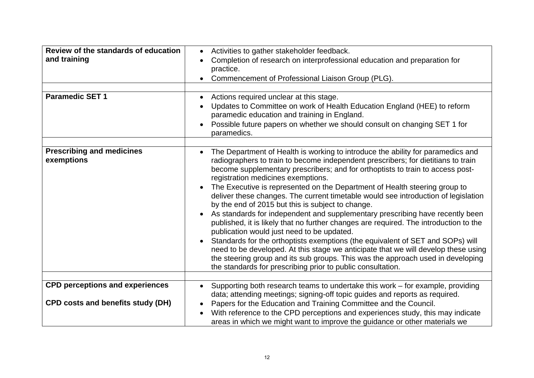| Review of the standards of education<br>and training<br><b>Paramedic SET 1</b>     | Activities to gather stakeholder feedback.<br>$\bullet$<br>Completion of research on interprofessional education and preparation for<br>practice.<br>Commencement of Professional Liaison Group (PLG).<br>Actions required unclear at this stage.<br>Updates to Committee on work of Health Education England (HEE) to reform<br>$\bullet$<br>paramedic education and training in England.<br>Possible future papers on whether we should consult on changing SET 1 for<br>paramedics.                                                                                                                                                                                                                                                                                                                                                                                                                                                                                                                                                                                                            |
|------------------------------------------------------------------------------------|---------------------------------------------------------------------------------------------------------------------------------------------------------------------------------------------------------------------------------------------------------------------------------------------------------------------------------------------------------------------------------------------------------------------------------------------------------------------------------------------------------------------------------------------------------------------------------------------------------------------------------------------------------------------------------------------------------------------------------------------------------------------------------------------------------------------------------------------------------------------------------------------------------------------------------------------------------------------------------------------------------------------------------------------------------------------------------------------------|
| <b>Prescribing and medicines</b><br>exemptions                                     | The Department of Health is working to introduce the ability for paramedics and<br>$\bullet$<br>radiographers to train to become independent prescribers; for dietitians to train<br>become supplementary prescribers; and for orthoptists to train to access post-<br>registration medicines exemptions.<br>The Executive is represented on the Department of Health steering group to<br>$\bullet$<br>deliver these changes. The current timetable would see introduction of legislation<br>by the end of 2015 but this is subject to change.<br>As standards for independent and supplementary prescribing have recently been<br>published, it is likely that no further changes are required. The introduction to the<br>publication would just need to be updated.<br>Standards for the orthoptists exemptions (the equivalent of SET and SOPs) will<br>need to be developed. At this stage we anticipate that we will develop these using<br>the steering group and its sub groups. This was the approach used in developing<br>the standards for prescribing prior to public consultation. |
| <b>CPD perceptions and experiences</b><br><b>CPD costs and benefits study (DH)</b> | Supporting both research teams to undertake this work - for example, providing<br>data; attending meetings; signing-off topic guides and reports as required.<br>Papers for the Education and Training Committee and the Council.<br>$\bullet$<br>With reference to the CPD perceptions and experiences study, this may indicate<br>areas in which we might want to improve the guidance or other materials we                                                                                                                                                                                                                                                                                                                                                                                                                                                                                                                                                                                                                                                                                    |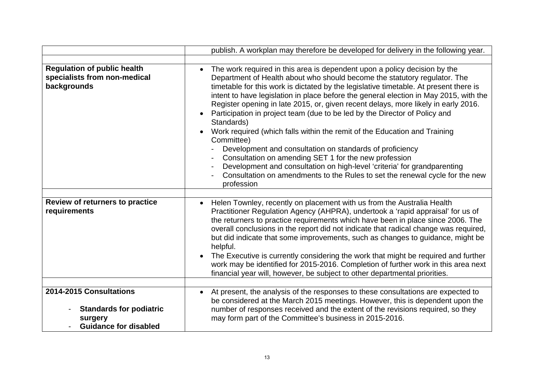|                                                                                                      | publish. A workplan may therefore be developed for delivery in the following year.                                                                                                                                                                                                                                                                                                                                                                                                                                                                                                                                                                                                                                                                                                                                                                                                                                                |
|------------------------------------------------------------------------------------------------------|-----------------------------------------------------------------------------------------------------------------------------------------------------------------------------------------------------------------------------------------------------------------------------------------------------------------------------------------------------------------------------------------------------------------------------------------------------------------------------------------------------------------------------------------------------------------------------------------------------------------------------------------------------------------------------------------------------------------------------------------------------------------------------------------------------------------------------------------------------------------------------------------------------------------------------------|
|                                                                                                      |                                                                                                                                                                                                                                                                                                                                                                                                                                                                                                                                                                                                                                                                                                                                                                                                                                                                                                                                   |
| <b>Regulation of public health</b><br>specialists from non-medical<br>backgrounds                    | The work required in this area is dependent upon a policy decision by the<br>$\bullet$<br>Department of Health about who should become the statutory regulator. The<br>timetable for this work is dictated by the legislative timetable. At present there is<br>intent to have legislation in place before the general election in May 2015, with the<br>Register opening in late 2015, or, given recent delays, more likely in early 2016.<br>Participation in project team (due to be led by the Director of Policy and<br>Standards)<br>Work required (which falls within the remit of the Education and Training<br>Committee)<br>Development and consultation on standards of proficiency<br>Consultation on amending SET 1 for the new profession<br>Development and consultation on high-level 'criteria' for grandparenting<br>Consultation on amendments to the Rules to set the renewal cycle for the new<br>profession |
| Review of returners to practice<br>requirements                                                      | Helen Townley, recently on placement with us from the Australia Health<br>$\bullet$<br>Practitioner Regulation Agency (AHPRA), undertook a 'rapid appraisal' for us of<br>the returners to practice requirements which have been in place since 2006. The<br>overall conclusions in the report did not indicate that radical change was required,<br>but did indicate that some improvements, such as changes to guidance, might be<br>helpful.<br>The Executive is currently considering the work that might be required and further<br>work may be identified for 2015-2016. Completion of further work in this area next<br>financial year will, however, be subject to other departmental priorities.                                                                                                                                                                                                                         |
| 2014-2015 Consultations<br><b>Standards for podiatric</b><br>surgery<br><b>Guidance for disabled</b> | At present, the analysis of the responses to these consultations are expected to<br>$\bullet$<br>be considered at the March 2015 meetings. However, this is dependent upon the<br>number of responses received and the extent of the revisions required, so they<br>may form part of the Committee's business in 2015-2016.                                                                                                                                                                                                                                                                                                                                                                                                                                                                                                                                                                                                       |